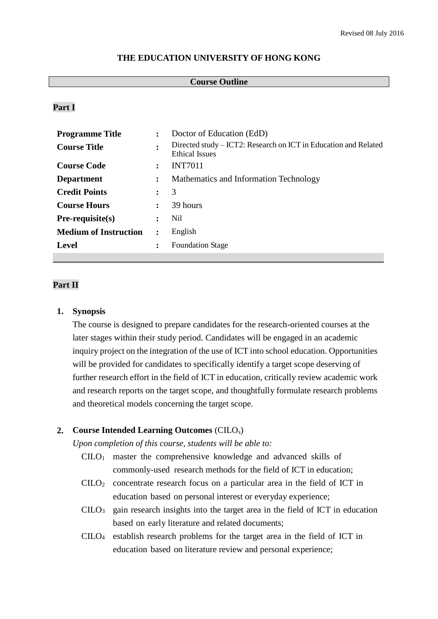### **THE EDUCATION UNIVERSITY OF HONG KONG**

#### **Course Outline**

# **Part I**

| <b>Programme Title</b>       | $\ddot{\cdot}$       | Doctor of Education (EdD)                                                                |
|------------------------------|----------------------|------------------------------------------------------------------------------------------|
| <b>Course Title</b>          | ٠                    | Directed study – ICT2: Research on ICT in Education and Related<br><b>Ethical Issues</b> |
| <b>Course Code</b>           | $\ddot{\phantom{a}}$ | <b>INT7011</b>                                                                           |
| <b>Department</b>            | $\ddot{\cdot}$       | Mathematics and Information Technology                                                   |
| <b>Credit Points</b>         | $\ddot{\phantom{a}}$ | 3                                                                                        |
| <b>Course Hours</b>          | $\ddot{\phantom{a}}$ | 39 hours                                                                                 |
| $Pre-requisite(s)$           | $\ddot{\cdot}$       | Nil                                                                                      |
| <b>Medium of Instruction</b> | $\ddot{\cdot}$       | English                                                                                  |
| <b>Level</b>                 | $\ddot{\cdot}$       | <b>Foundation Stage</b>                                                                  |
|                              |                      |                                                                                          |

### **Part II**

#### **1. Synopsis**

The course is designed to prepare candidates for the research-oriented courses at the later stages within their study period. Candidates will be engaged in an academic inquiry project on the integration of the use of ICT into school education. Opportunities will be provided for candidates to specifically identify a target scope deserving of further research effort in the field of ICT in education, critically review academic work and research reports on the target scope, and thoughtfully formulate research problems and theoretical models concerning the target scope.

# **2. Course Intended Learning Outcomes** (CILOs)

*Upon completion of this course, students will be able to:*

- CILO<sup>1</sup> master the comprehensive knowledge and advanced skills of commonly-used research methods for the field of ICT in education;
- CILO<sup>2</sup> concentrate research focus on a particular area in the field of ICT in education based on personal interest or everyday experience;
- $CILO<sub>3</sub>$  gain research insights into the target area in the field of ICT in education based on early literature and related documents;
- CILO<sup>4</sup> establish research problems for the target area in the field of ICT in education based on literature review and personal experience;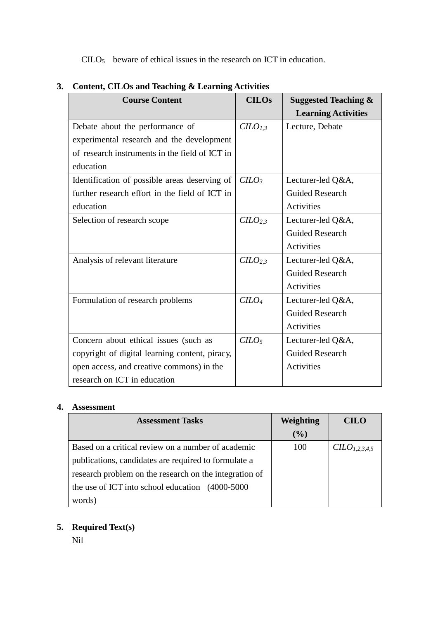$C I L O<sub>5</sub>$  beware of ethical issues in the research on ICT in education.

| <b>Course Content</b>                          | <b>CILOs</b>     | <b>Suggested Teaching &amp;</b> |
|------------------------------------------------|------------------|---------------------------------|
|                                                |                  | <b>Learning Activities</b>      |
| Debate about the performance of                | C <sub>I,3</sub> | Lecture, Debate                 |
| experimental research and the development      |                  |                                 |
| of research instruments in the field of ICT in |                  |                                 |
| education                                      |                  |                                 |
| Identification of possible areas deserving of  | $C LO_3$         | Lecturer-led Q&A,               |
| further research effort in the field of ICT in |                  | <b>Guided Research</b>          |
| education                                      |                  | Activities                      |
| Selection of research scope                    | C <sub>2,3</sub> | Lecturer-led Q&A,               |
|                                                |                  | <b>Guided Research</b>          |
|                                                |                  | <b>Activities</b>               |
| Analysis of relevant literature                | C <sub>2,3</sub> | Lecturer-led Q&A,               |
|                                                |                  | <b>Guided Research</b>          |
|                                                |                  | <b>Activities</b>               |
| Formulation of research problems               | $C$              | Lecturer-led Q&A,               |
|                                                |                  | <b>Guided Research</b>          |
|                                                |                  | <b>Activities</b>               |
| Concern about ethical issues (such as          | $C$              | Lecturer-led Q&A,               |
| copyright of digital learning content, piracy, |                  | <b>Guided Research</b>          |
| open access, and creative commons) in the      |                  | <b>Activities</b>               |
| research on ICT in education                   |                  |                                 |

# **3. Content, CILOs and Teaching & Learning Activities**

# **4. Assessment**

| <b>Assessment Tasks</b>                                | Weighting | CILO                     |
|--------------------------------------------------------|-----------|--------------------------|
|                                                        | (%)       |                          |
| Based on a critical review on a number of academic     | 100       | CLO <sub>1.2.3.4.5</sub> |
| publications, candidates are required to formulate a   |           |                          |
| research problem on the research on the integration of |           |                          |
| the use of ICT into school education $(4000-5000)$     |           |                          |
| words)                                                 |           |                          |

# **5. Required Text(s)**

Nil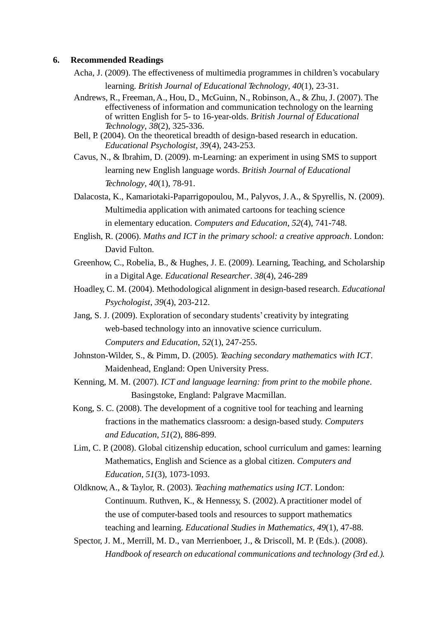#### **6. Recommended Readings**

Acha, J. (2009). The effectiveness of multimedia programmes in children's vocabulary

learning. *British Journal of Educational Technology*, *40*(1), 23-31.

- Andrews, R., Freeman,A., Hou, D., McGuinn, N., Robinson,A., & Zhu, J. (2007). The effectiveness of information and communication technology on the learning of written English for 5- to 16-year-olds. *British Journal of Educational Technology*, *38*(2), 325-336.
- Bell, P. (2004). On the theoretical breadth of design-based research in education. *Educational Psychologist*, *39*(4), 243-253.
- Cavus, N., & Ibrahim, D. (2009). m-Learning: an experiment in using SMS to support learning new English language words. *British Journal of Educational Technology*, *40*(1), 78-91.
- Dalacosta, K., Kamariotaki-Paparrigopoulou, M., Palyvos, J.A., & Spyrellis, N. (2009). Multimedia application with animated cartoons for teaching science in elementary education. *Computers and Education*, *52*(4), 741-748.
- English, R. (2006). *Maths and ICT in the primary school: a creative approach*. London: David Fulton.
- Greenhow, C., Robelia, B., & Hughes, J. E. (2009). Learning, Teaching, and Scholarship in a DigitalAge. *Educational Researcher*. *38*(4), 246-289
- Hoadley, C. M. (2004). Methodological alignment in design-based research. *Educational Psychologist*, *39*(4), 203-212.
- Jang, S. J. (2009). Exploration of secondary students'creativity by integrating web-based technology into an innovative science curriculum. *Computers and Education*, *52*(1), 247-255.
- Johnston-Wilder, S., & Pimm, D. (2005). *Teaching secondary mathematics with ICT*. Maidenhead, England: Open University Press.
- Kenning, M. M. (2007). *ICT and language learning: from print to the mobile phone*. Basingstoke, England: Palgrave Macmillan.
- Kong, S. C. (2008). The development of a cognitive tool for teaching and learning fractions in the mathematics classroom: a design-based study. *Computers and Education*, *51*(2), 886-899.
- Lim, C. P. (2008). Global citizenship education, school curriculum and games: learning Mathematics, English and Science as a global citizen. *Computers and Education*, *51*(3), 1073-1093.
- Oldknow,A., & Taylor, R. (2003). *Teaching mathematics using ICT*. London: Continuum. Ruthven, K., & Hennessy, S. (2002). A practitioner model of the use of computer-based tools and resources to support mathematics teaching and learning. *Educational Studies in Mathematics*, *49*(1), 47-88.
- Spector, J. M., Merrill, M. D., van Merrienboer, J., & Driscoll, M. P. (Eds.). (2008). *Handbook of research on educational communications and technology (3rd ed.).*